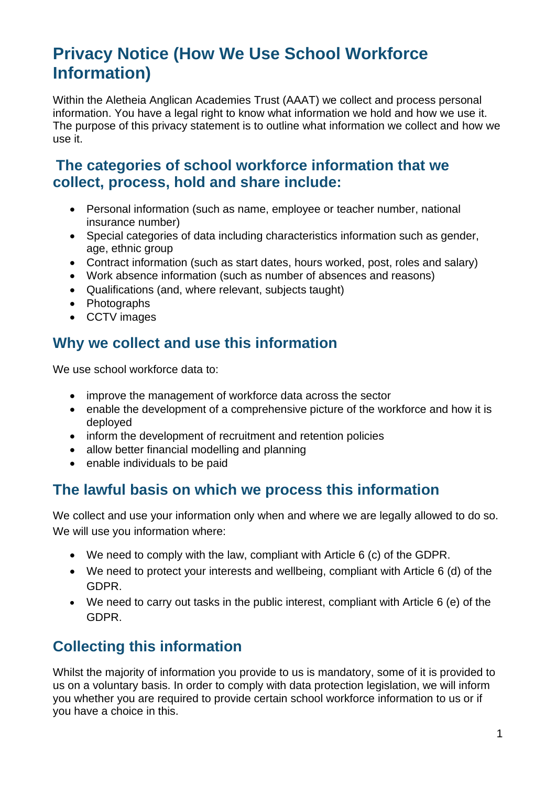# **Privacy Notice (How We Use School Workforce Information)**

Within the Aletheia Anglican Academies Trust (AAAT) we collect and process personal information. You have a legal right to know what information we hold and how we use it. The purpose of this privacy statement is to outline what information we collect and how we use it.

### **The categories of school workforce information that we collect, process, hold and share include:**

- Personal information (such as name, employee or teacher number, national insurance number)
- Special categories of data including characteristics information such as gender, age, ethnic group
- Contract information (such as start dates, hours worked, post, roles and salary)
- Work absence information (such as number of absences and reasons)
- Qualifications (and, where relevant, subjects taught)
- Photographs
- CCTV images

### **Why we collect and use this information**

We use school workforce data to:

- improve the management of workforce data across the sector
- enable the development of a comprehensive picture of the workforce and how it is deployed
- inform the development of recruitment and retention policies
- allow better financial modelling and planning
- enable individuals to be paid

#### **The lawful basis on which we process this information**

We collect and use your information only when and where we are legally allowed to do so. We will use you information where:

- We need to comply with the law, compliant with Article 6 (c) of the GDPR.
- We need to protect your interests and wellbeing, compliant with Article 6 (d) of the GDPR.
- We need to carry out tasks in the public interest, compliant with Article 6 (e) of the GDPR.

## **Collecting this information**

Whilst the majority of information you provide to us is mandatory, some of it is provided to us on a voluntary basis. In order to comply with data protection legislation, we will inform you whether you are required to provide certain school workforce information to us or if you have a choice in this.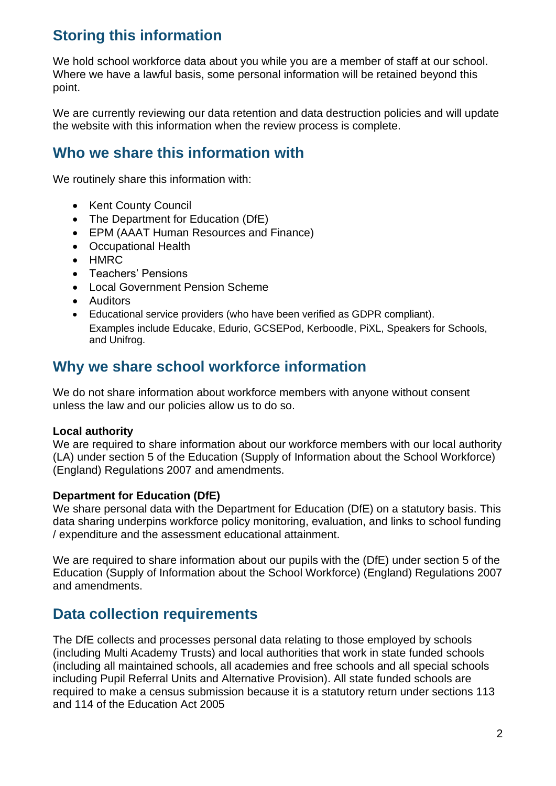## **Storing this information**

We hold school workforce data about you while you are a member of staff at our school. Where we have a lawful basis, some personal information will be retained beyond this point.

We are currently reviewing our data retention and data destruction policies and will update the website with this information when the review process is complete.

## **Who we share this information with**

We routinely share this information with:

- Kent County Council
- The Department for Education (DfE)
- EPM (AAAT Human Resources and Finance)
- Occupational Health
- HMRC
- Teachers' Pensions
- Local Government Pension Scheme
- Auditors
- Educational service providers (who have been verified as GDPR compliant). Examples include Educake, Edurio, GCSEPod, Kerboodle, PiXL, Speakers for Schools, and Unifrog.

#### **Why we share school workforce information**

We do not share information about workforce members with anyone without consent unless the law and our policies allow us to do so.

#### **Local authority**

We are required to share information about our workforce members with our local authority (LA) under section 5 of the Education (Supply of Information about the School Workforce) (England) Regulations 2007 and amendments.

#### **Department for Education (DfE)**

We share personal data with the Department for Education (DfE) on a statutory basis. This data sharing underpins workforce policy monitoring, evaluation, and links to school funding / expenditure and the assessment educational attainment.

We are required to share information about our pupils with the (DfE) under section 5 of the Education (Supply of Information about the School Workforce) (England) Regulations 2007 and amendments.

#### **Data collection requirements**

The DfE collects and processes personal data relating to those employed by schools (including Multi Academy Trusts) and local authorities that work in state funded schools (including all maintained schools, all academies and free schools and all special schools including Pupil Referral Units and Alternative Provision). All state funded schools are required to make a census submission because it is a statutory return under sections 113 and 114 of the Education Act 2005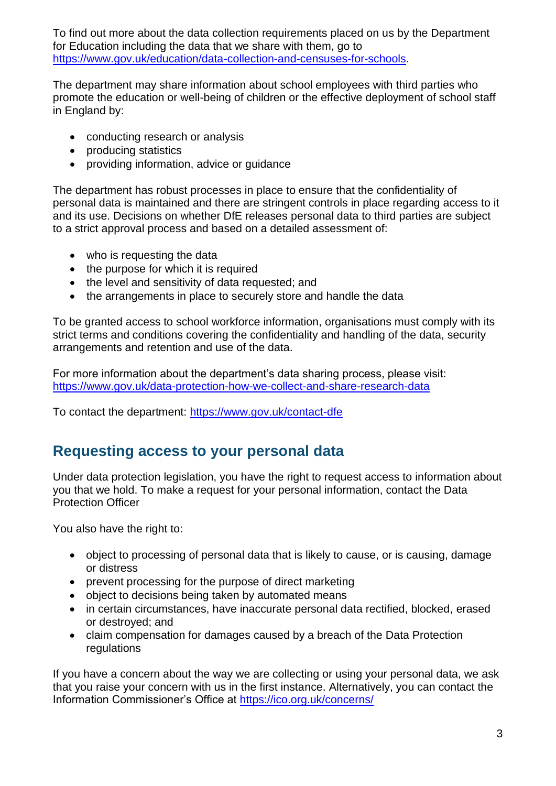To find out more about the data collection requirements placed on us by the Department for Education including the data that we share with them, go to [https://www.gov.uk/education/data-collection-and-censuses-for-schools.](https://www.gov.uk/education/data-collection-and-censuses-for-schools)

The department may share information about school employees with third parties who promote the education or well-being of children or the effective deployment of school staff in England by:

- conducting research or analysis
- producing statistics
- providing information, advice or quidance

The department has robust processes in place to ensure that the confidentiality of personal data is maintained and there are stringent controls in place regarding access to it and its use. Decisions on whether DfE releases personal data to third parties are subject to a strict approval process and based on a detailed assessment of:

- who is requesting the data
- the purpose for which it is required
- the level and sensitivity of data requested; and
- the arrangements in place to securely store and handle the data

To be granted access to school workforce information, organisations must comply with its strict terms and conditions covering the confidentiality and handling of the data, security arrangements and retention and use of the data.

For more information about the department's data sharing process, please visit: <https://www.gov.uk/data-protection-how-we-collect-and-share-research-data>

To contact the department:<https://www.gov.uk/contact-dfe>

#### **Requesting access to your personal data**

Under data protection legislation, you have the right to request access to information about you that we hold. To make a request for your personal information, contact the Data Protection Officer

You also have the right to:

- object to processing of personal data that is likely to cause, or is causing, damage or distress
- prevent processing for the purpose of direct marketing
- object to decisions being taken by automated means
- in certain circumstances, have inaccurate personal data rectified, blocked, erased or destroyed; and
- claim compensation for damages caused by a breach of the Data Protection regulations

If you have a concern about the way we are collecting or using your personal data, we ask that you raise your concern with us in the first instance. Alternatively, you can contact the Information Commissioner's Office at<https://ico.org.uk/concerns/>